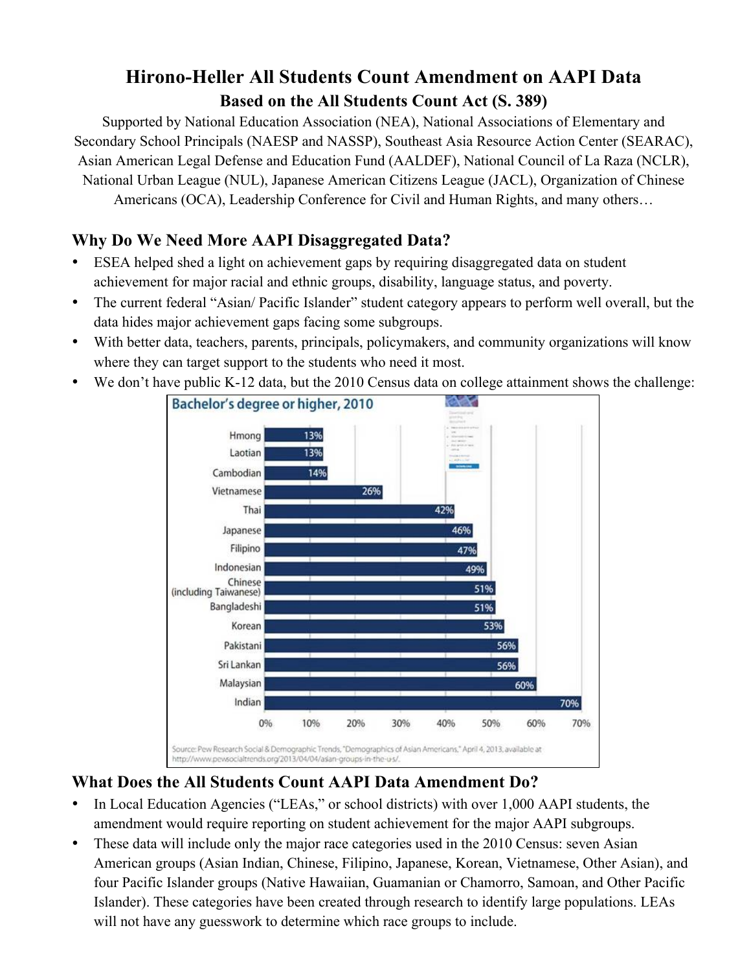# **Hirono-Heller All Students Count Amendment on AAPI Data Based on the All Students Count Act (S. 389)**

Supported by National Education Association (NEA), National Associations of Elementary and Secondary School Principals (NAESP and NASSP), Southeast Asia Resource Action Center (SEARAC), Asian American Legal Defense and Education Fund (AALDEF), National Council of La Raza (NCLR), National Urban League (NUL), Japanese American Citizens League (JACL), Organization of Chinese Americans (OCA), Leadership Conference for Civil and Human Rights, and many others…

### **Why Do We Need More AAPI Disaggregated Data?**

- ESEA helped shed a light on achievement gaps by requiring disaggregated data on student achievement for major racial and ethnic groups, disability, language status, and poverty.
- The current federal "Asian/ Pacific Islander" student category appears to perform well overall, but the data hides major achievement gaps facing some subgroups.
- With better data, teachers, parents, principals, policymakers, and community organizations will know where they can target support to the students who need it most.
- We don't have public K-12 data, but the 2010 Census data on college attainment shows the challenge:



## **What Does the All Students Count AAPI Data Amendment Do?**

- In Local Education Agencies ("LEAs," or school districts) with over 1,000 AAPI students, the amendment would require reporting on student achievement for the major AAPI subgroups.
- These data will include only the major race categories used in the 2010 Census: seven Asian American groups (Asian Indian, Chinese, Filipino, Japanese, Korean, Vietnamese, Other Asian), and four Pacific Islander groups (Native Hawaiian, Guamanian or Chamorro, Samoan, and Other Pacific Islander). These categories have been created through research to identify large populations. LEAs will not have any guesswork to determine which race groups to include.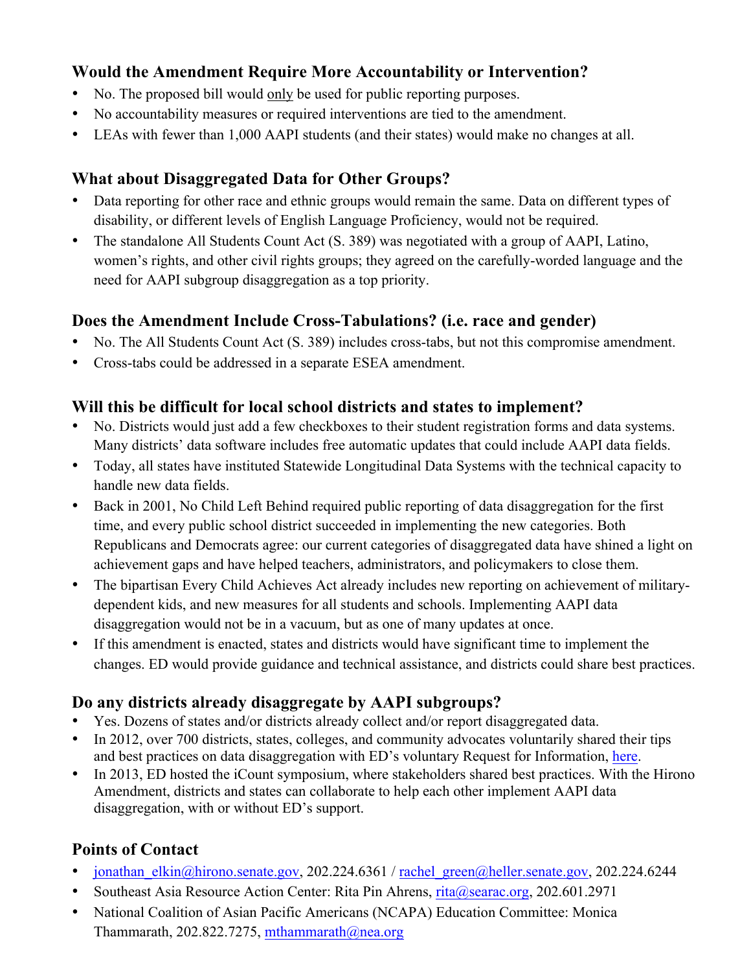### **Would the Amendment Require More Accountability or Intervention?**

- No. The proposed bill would only be used for public reporting purposes.
- No accountability measures or required interventions are tied to the amendment.
- LEAs with fewer than 1,000 AAPI students (and their states) would make no changes at all.

## **What about Disaggregated Data for Other Groups?**

- Data reporting for other race and ethnic groups would remain the same. Data on different types of disability, or different levels of English Language Proficiency, would not be required.
- The standalone All Students Count Act (S. 389) was negotiated with a group of AAPI, Latino, women's rights, and other civil rights groups; they agreed on the carefully-worded language and the need for AAPI subgroup disaggregation as a top priority.

## **Does the Amendment Include Cross-Tabulations? (i.e. race and gender)**

- No. The All Students Count Act (S. 389) includes cross-tabs, but not this compromise amendment.
- Cross-tabs could be addressed in a separate ESEA amendment.

## **Will this be difficult for local school districts and states to implement?**

- No. Districts would just add a few checkboxes to their student registration forms and data systems. Many districts' data software includes free automatic updates that could include AAPI data fields.
- Today, all states have instituted Statewide Longitudinal Data Systems with the technical capacity to handle new data fields.
- Back in 2001, No Child Left Behind required public reporting of data disaggregation for the first time, and every public school district succeeded in implementing the new categories. Both Republicans and Democrats agree: our current categories of disaggregated data have shined a light on achievement gaps and have helped teachers, administrators, and policymakers to close them.
- The bipartisan Every Child Achieves Act already includes new reporting on achievement of militarydependent kids, and new measures for all students and schools. Implementing AAPI data disaggregation would not be in a vacuum, but as one of many updates at once.
- If this amendment is enacted, states and districts would have significant time to implement the changes. ED would provide guidance and technical assistance, and districts could share best practices.

# **Do any districts already disaggregate by AAPI subgroups?**

- Yes. Dozens of states and/or districts already collect and/or report disaggregated data.
- In 2012, over 700 districts, states, colleges, and community advocates voluntarily shared their tips and best practices on data disaggregation with ED's voluntary Request for Information, here.
- In 2013, ED hosted the iCount symposium, where stakeholders shared best practices. With the Hirono Amendment, districts and states can collaborate to help each other implement AAPI data disaggregation, with or without ED's support.

# **Points of Contact**

- jonathan elkin@hirono.senate.gov, 202.224.6361 / rachel\_green@heller.senate.gov, 202.224.6244
- Southeast Asia Resource Action Center: Rita Pin Ahrens, rita@searac.org, 202.601.2971
- National Coalition of Asian Pacific Americans (NCAPA) Education Committee: Monica Thammarath, 202.822.7275, mthammarath@nea.org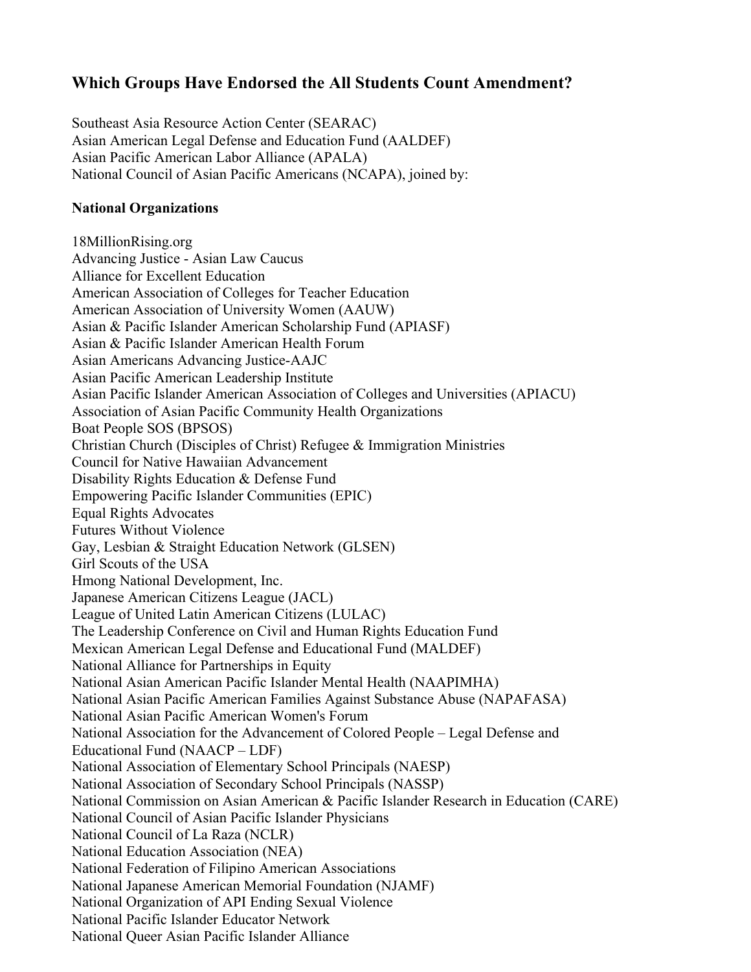### **Which Groups Have Endorsed the All Students Count Amendment?**

Southeast Asia Resource Action Center (SEARAC) Asian American Legal Defense and Education Fund (AALDEF) Asian Pacific American Labor Alliance (APALA) National Council of Asian Pacific Americans (NCAPA), joined by:

### **National Organizations**

18MillionRising.org Advancing Justice - Asian Law Caucus Alliance for Excellent Education American Association of Colleges for Teacher Education American Association of University Women (AAUW) Asian & Pacific Islander American Scholarship Fund (APIASF) Asian & Pacific Islander American Health Forum Asian Americans Advancing Justice-AAJC Asian Pacific American Leadership Institute Asian Pacific Islander American Association of Colleges and Universities (APIACU) Association of Asian Pacific Community Health Organizations Boat People SOS (BPSOS) Christian Church (Disciples of Christ) Refugee & Immigration Ministries Council for Native Hawaiian Advancement Disability Rights Education & Defense Fund Empowering Pacific Islander Communities (EPIC) Equal Rights Advocates Futures Without Violence Gay, Lesbian & Straight Education Network (GLSEN) Girl Scouts of the USA Hmong National Development, Inc. Japanese American Citizens League (JACL) League of United Latin American Citizens (LULAC) The Leadership Conference on Civil and Human Rights Education Fund Mexican American Legal Defense and Educational Fund (MALDEF) National Alliance for Partnerships in Equity National Asian American Pacific Islander Mental Health (NAAPIMHA) National Asian Pacific American Families Against Substance Abuse (NAPAFASA) National Asian Pacific American Women's Forum National Association for the Advancement of Colored People – Legal Defense and Educational Fund (NAACP – LDF) National Association of Elementary School Principals (NAESP) National Association of Secondary School Principals (NASSP) National Commission on Asian American & Pacific Islander Research in Education (CARE) National Council of Asian Pacific Islander Physicians National Council of La Raza (NCLR) National Education Association (NEA) National Federation of Filipino American Associations National Japanese American Memorial Foundation (NJAMF) National Organization of API Ending Sexual Violence National Pacific Islander Educator Network

National Queer Asian Pacific Islander Alliance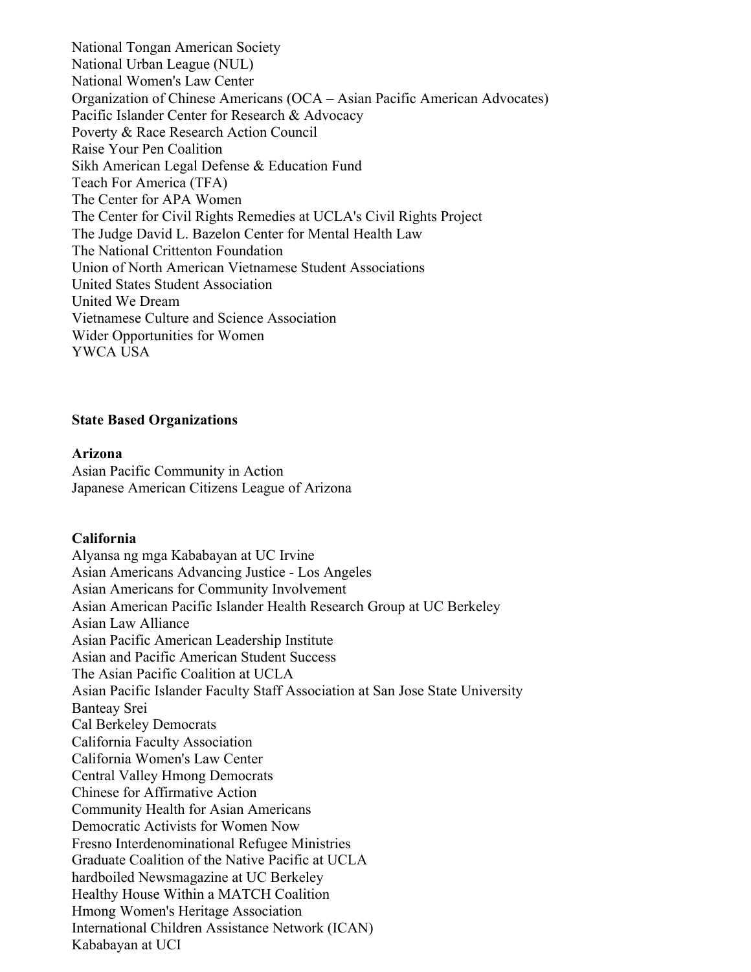National Tongan American Society National Urban League (NUL) National Women's Law Center Organization of Chinese Americans (OCA – Asian Pacific American Advocates) Pacific Islander Center for Research & Advocacy Poverty & Race Research Action Council Raise Your Pen Coalition Sikh American Legal Defense & Education Fund Teach For America (TFA) The Center for APA Women The Center for Civil Rights Remedies at UCLA's Civil Rights Project The Judge David L. Bazelon Center for Mental Health Law The National Crittenton Foundation Union of North American Vietnamese Student Associations United States Student Association United We Dream Vietnamese Culture and Science Association Wider Opportunities for Women YWCA USA

#### **State Based Organizations**

#### **Arizona**

Asian Pacific Community in Action Japanese American Citizens League of Arizona

#### **California**

Alyansa ng mga Kababayan at UC Irvine Asian Americans Advancing Justice - Los Angeles Asian Americans for Community Involvement Asian American Pacific Islander Health Research Group at UC Berkeley Asian Law Alliance Asian Pacific American Leadership Institute Asian and Pacific American Student Success The Asian Pacific Coalition at UCLA Asian Pacific Islander Faculty Staff Association at San Jose State University Banteay Srei Cal Berkeley Democrats California Faculty Association California Women's Law Center Central Valley Hmong Democrats Chinese for Affirmative Action Community Health for Asian Americans Democratic Activists for Women Now Fresno Interdenominational Refugee Ministries Graduate Coalition of the Native Pacific at UCLA hardboiled Newsmagazine at UC Berkeley Healthy House Within a MATCH Coalition Hmong Women's Heritage Association International Children Assistance Network (ICAN) Kababayan at UCI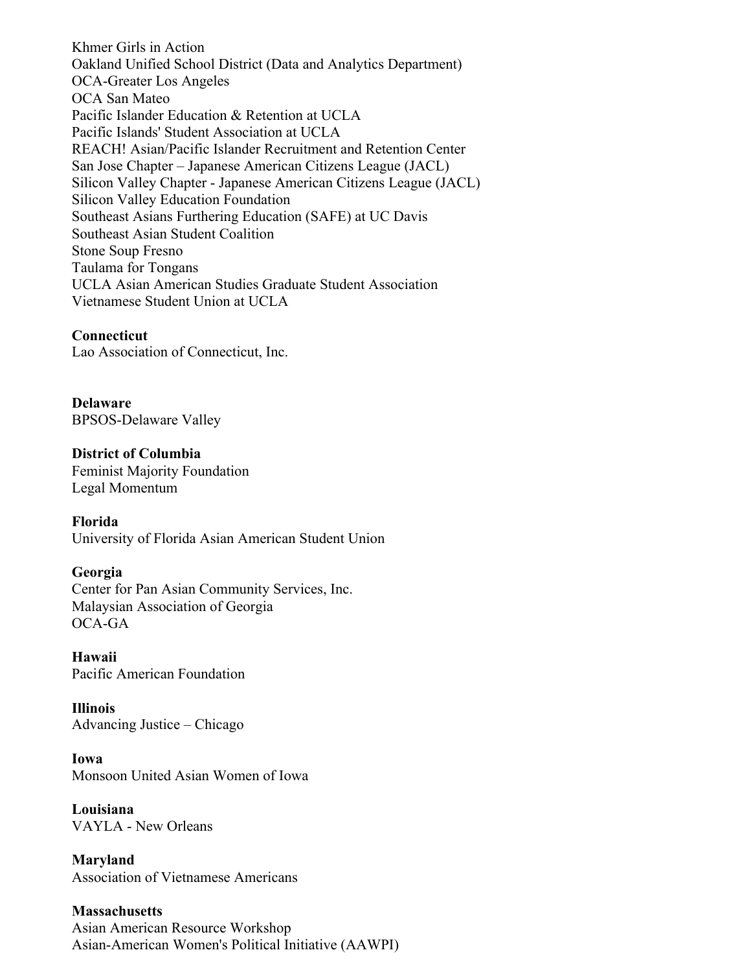Khmer Girls in Action Oakland Unified School District (Data and Analytics Department) OCA-Greater Los Angeles OCA San Mateo Pacific Islander Education & Retention at UCLA Pacific Islands' Student Association at UCLA REACH! Asian/Pacific Islander Recruitment and Retention Center San Jose Chapter – Japanese American Citizens League (JACL) Silicon Valley Chapter - Japanese American Citizens League (JACL) Silicon Valley Education Foundation Southeast Asians Furthering Education (SAFE) at UC Davis Southeast Asian Student Coalition Stone Soup Fresno Taulama for Tongans UCLA Asian American Studies Graduate Student Association Vietnamese Student Union at UCLA

#### **Connecticut**

Lao Association of Connecticut, Inc.

**Delaware** BPSOS-Delaware Valley

**District of Columbia** Feminist Majority Foundation Legal Momentum

**Florida**

University of Florida Asian American Student Union

#### **Georgia**

Center for Pan Asian Community Services, Inc. Malaysian Association of Georgia OCA-GA

**Hawaii** Pacific American Foundation

**Illinois** Advancing Justice – Chicago

**Iowa** Monsoon United Asian Women of Iowa

**Louisiana**  VAYLA - New Orleans

**Maryland** Association of Vietnamese Americans

**Massachusetts** Asian American Resource Workshop Asian-American Women's Political Initiative (AAWPI)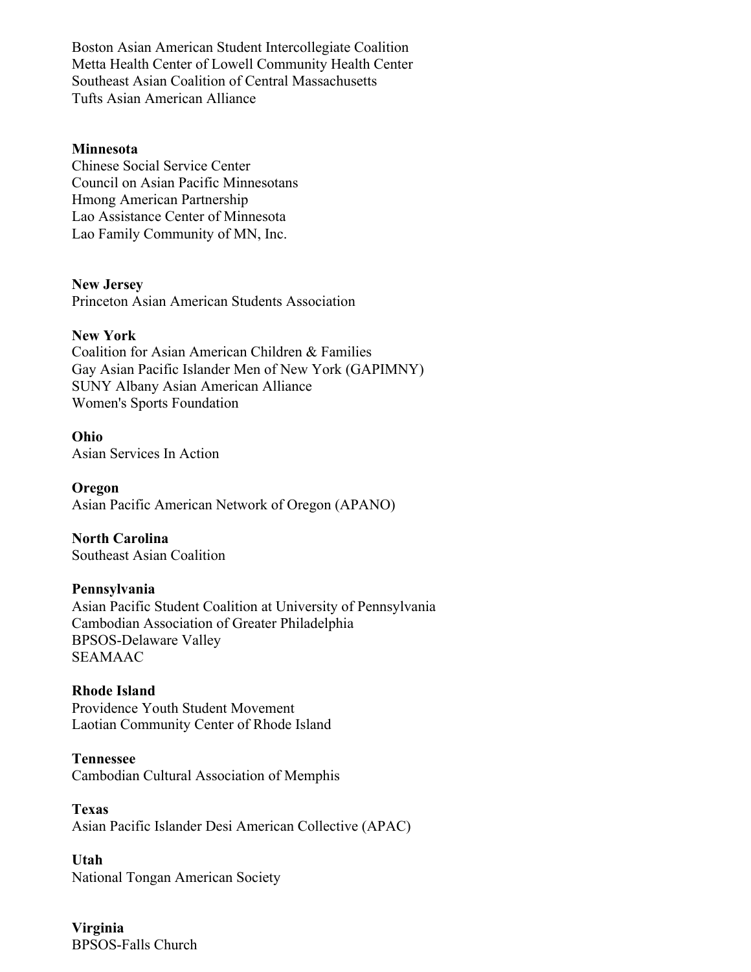Boston Asian American Student Intercollegiate Coalition Metta Health Center of Lowell Community Health Center Southeast Asian Coalition of Central Massachusetts Tufts Asian American Alliance

### **Minnesota**

Chinese Social Service Center Council on Asian Pacific Minnesotans Hmong American Partnership Lao Assistance Center of Minnesota Lao Family Community of MN, Inc.

**New Jersey**

Princeton Asian American Students Association

#### **New York**

Coalition for Asian American Children & Families Gay Asian Pacific Islander Men of New York (GAPIMNY) SUNY Albany Asian American Alliance Women's Sports Foundation

#### **Ohio**

Asian Services In Action

**Oregon** Asian Pacific American Network of Oregon (APANO)

**North Carolina** Southeast Asian Coalition

#### **Pennsylvania**

Asian Pacific Student Coalition at University of Pennsylvania Cambodian Association of Greater Philadelphia BPSOS-Delaware Valley SEAMAAC

#### **Rhode Island**

Providence Youth Student Movement Laotian Community Center of Rhode Island

#### **Tennessee**

Cambodian Cultural Association of Memphis

**Texas** Asian Pacific Islander Desi American Collective (APAC)

**Utah** National Tongan American Society

**Virginia** BPSOS-Falls Church